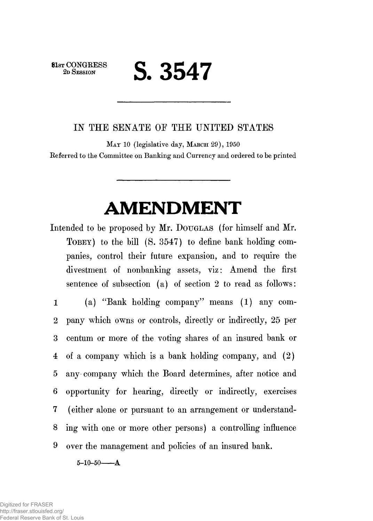**81st CONGRESS**<br>2D SESSION

## **2D SESSION S. 3547**

## IN THE SENATE OF THE UNITED STATES

MAY 10 (legislative day, MARCH 29), 1950 Referred to the Committee on Banking and Currency and ordered to be printed

## **AMENDMENT**

Intended to be proposed by Mr. DOUGLAS (for himself and Mr. TOBEY) to the bill (S. 3547) to define bank holding companies, control their future expansion, and to require the divestment of nonbanking assets, viz: Amend the first sentence of subsection (a) of section 2 to read as follows:

1 (a) "Bank holding company" means (1) any com-2 pany which owns or controls, directly or indirectly, 25 per 3 centum or more of the voting shares of an insured bank or 4 of a company which is a bank holding company, and (2) 5 any company which the Board determines, after notice and 6 opportunity for hearing, directly or indirectly, exercises 7 (either alone or pursuant to an arrangement or understand-8 ing with one or more other persons) a controlling influence 9 over the management and policies of an insured bank.

 $5 - 10 - 50 - A$